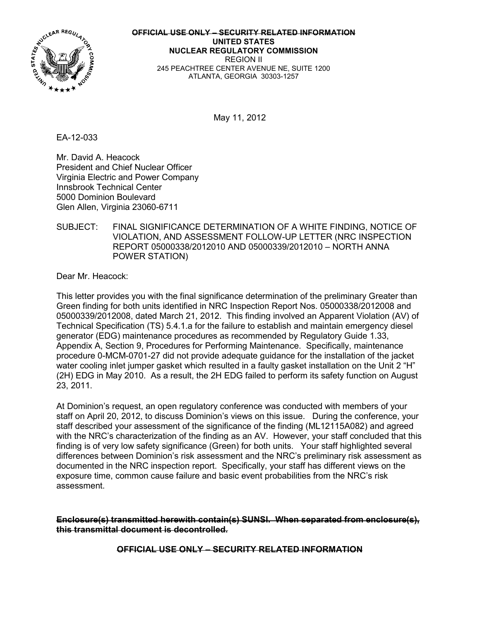

**OFFICIAL USE ONLY – SECURITY RELATED INFORMATION UNITED STATES NUCLEAR REGULATORY COMMISSION**  REGION II 245 PEACHTREE CENTER AVENUE NE, SUITE 1200 ATLANTA, GEORGIA 30303-1257

May 11, 2012

EA-12-033

Mr. David A. Heacock President and Chief Nuclear Officer Virginia Electric and Power Company Innsbrook Technical Center 5000 Dominion Boulevard Glen Allen, Virginia 23060-6711

# SUBJECT: FINAL SIGNIFICANCE DETERMINATION OF A WHITE FINDING, NOTICE OF VIOLATION, AND ASSESSMENT FOLLOW-UP LETTER (NRC INSPECTION REPORT 05000338/2012010 AND 05000339/2012010 – NORTH ANNA POWER STATION)

Dear Mr. Heacock:

This letter provides you with the final significance determination of the preliminary Greater than Green finding for both units identified in NRC Inspection Report Nos. 05000338/2012008 and 05000339/2012008, dated March 21, 2012. This finding involved an Apparent Violation (AV) of Technical Specification (TS) 5.4.1.a for the failure to establish and maintain emergency diesel generator (EDG) maintenance procedures as recommended by Regulatory Guide 1.33, Appendix A, Section 9, Procedures for Performing Maintenance. Specifically, maintenance procedure 0-MCM-0701-27 did not provide adequate guidance for the installation of the jacket water cooling inlet jumper gasket which resulted in a faulty gasket installation on the Unit 2 "H" (2H) EDG in May 2010. As a result, the 2H EDG failed to perform its safety function on August 23, 2011.

At Dominion's request, an open regulatory conference was conducted with members of your staff on April 20, 2012, to discuss Dominion's views on this issue. During the conference, your staff described your assessment of the significance of the finding (ML12115A082) and agreed with the NRC's characterization of the finding as an AV. However, your staff concluded that this finding is of very low safety significance (Green) for both units. Your staff highlighted several differences between Dominion's risk assessment and the NRC's preliminary risk assessment as documented in the NRC inspection report. Specifically, your staff has different views on the exposure time, common cause failure and basic event probabilities from the NRC's risk assessment.

**Enclosure(s) transmitted herewith contain(s) SUNSI. When separated from enclosure(s), this transmittal document is decontrolled.**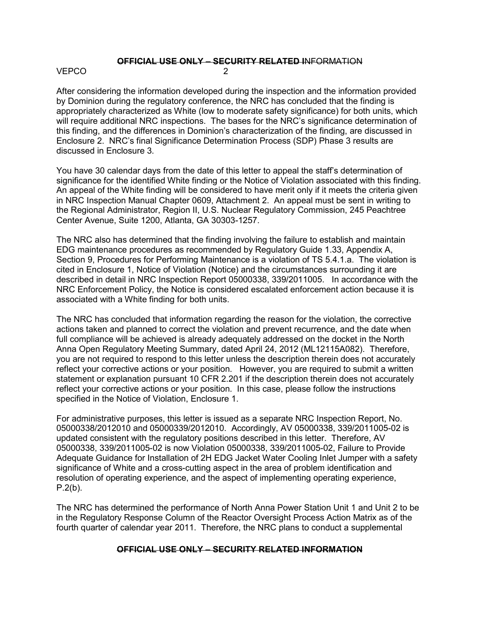# **OFFICIAL USE ONLY – SECURITY RELATED I**NFORMATION

# VEPCO 2

After considering the information developed during the inspection and the information provided by Dominion during the regulatory conference, the NRC has concluded that the finding is appropriately characterized as White (low to moderate safety significance) for both units, which will require additional NRC inspections. The bases for the NRC's significance determination of this finding, and the differences in Dominion's characterization of the finding, are discussed in Enclosure 2. NRC's final Significance Determination Process (SDP) Phase 3 results are discussed in Enclosure 3.

You have 30 calendar days from the date of this letter to appeal the staff's determination of significance for the identified White finding or the Notice of Violation associated with this finding. An appeal of the White finding will be considered to have merit only if it meets the criteria given in NRC Inspection Manual Chapter 0609, Attachment 2. An appeal must be sent in writing to the Regional Administrator, Region II, U.S. Nuclear Regulatory Commission, 245 Peachtree Center Avenue, Suite 1200, Atlanta, GA 30303-1257.

The NRC also has determined that the finding involving the failure to establish and maintain EDG maintenance procedures as recommended by Regulatory Guide 1.33, Appendix A, Section 9, Procedures for Performing Maintenance is a violation of TS 5.4.1.a. The violation is cited in Enclosure 1, Notice of Violation (Notice) and the circumstances surrounding it are described in detail in NRC Inspection Report 05000338, 339/2011005. In accordance with the NRC Enforcement Policy, the Notice is considered escalated enforcement action because it is associated with a White finding for both units.

The NRC has concluded that information regarding the reason for the violation, the corrective actions taken and planned to correct the violation and prevent recurrence, and the date when full compliance will be achieved is already adequately addressed on the docket in the North Anna Open Regulatory Meeting Summary, dated April 24, 2012 (ML12115A082). Therefore, you are not required to respond to this letter unless the description therein does not accurately reflect your corrective actions or your position. However, you are required to submit a written statement or explanation pursuant 10 CFR 2.201 if the description therein does not accurately reflect your corrective actions or your position. In this case, please follow the instructions specified in the Notice of Violation, Enclosure 1.

For administrative purposes, this letter is issued as a separate NRC Inspection Report, No. 05000338/2012010 and 05000339/2012010. Accordingly, AV 05000338, 339/2011005-02 is updated consistent with the regulatory positions described in this letter. Therefore, AV 05000338, 339/2011005-02 is now Violation 05000338, 339/2011005-02, Failure to Provide Adequate Guidance for Installation of 2H EDG Jacket Water Cooling Inlet Jumper with a safety significance of White and a cross-cutting aspect in the area of problem identification and resolution of operating experience, and the aspect of implementing operating experience, P.2(b).

The NRC has determined the performance of North Anna Power Station Unit 1 and Unit 2 to be in the Regulatory Response Column of the Reactor Oversight Process Action Matrix as of the fourth quarter of calendar year 2011. Therefore, the NRC plans to conduct a supplemental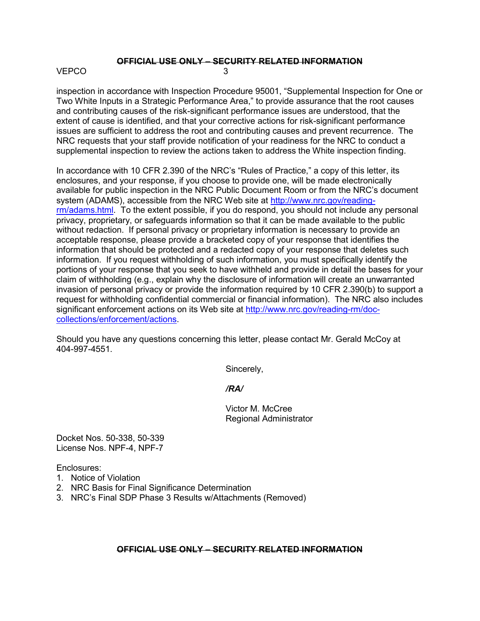# **OFFICIAL USE ONLY – SECURITY RELATED INFORMATION**

# $VFPCO$  3

inspection in accordance with Inspection Procedure 95001, "Supplemental Inspection for One or Two White Inputs in a Strategic Performance Area," to provide assurance that the root causes and contributing causes of the risk-significant performance issues are understood, that the extent of cause is identified, and that your corrective actions for risk-significant performance issues are sufficient to address the root and contributing causes and prevent recurrence. The NRC requests that your staff provide notification of your readiness for the NRC to conduct a supplemental inspection to review the actions taken to address the White inspection finding.

In accordance with 10 CFR 2.390 of the NRC's "Rules of Practice," a copy of this letter, its enclosures, and your response, if you choose to provide one, will be made electronically available for public inspection in the NRC Public Document Room or from the NRC's document system (ADAMS), accessible from the NRC Web site at http://www.nrc.gov/readingrm/adams.html. To the extent possible, if you do respond, you should not include any personal privacy, proprietary, or safeguards information so that it can be made available to the public without redaction. If personal privacy or proprietary information is necessary to provide an acceptable response, please provide a bracketed copy of your response that identifies the information that should be protected and a redacted copy of your response that deletes such information. If you request withholding of such information, you must specifically identify the portions of your response that you seek to have withheld and provide in detail the bases for your claim of withholding (e.g., explain why the disclosure of information will create an unwarranted invasion of personal privacy or provide the information required by 10 CFR 2.390(b) to support a request for withholding confidential commercial or financial information). The NRC also includes significant enforcement actions on its Web site at http://www.nrc.gov/reading-rm/doccollections/enforcement/actions.

Should you have any questions concerning this letter, please contact Mr. Gerald McCoy at 404-997-4551.

Sincerely,

*/RA/* 

Victor M. McCree Regional Administrator

Docket Nos. 50-338, 50-339 License Nos. NPF-4, NPF-7

Enclosures:

- 1. Notice of Violation
- 2. NRC Basis for Final Significance Determination
- 3. NRC's Final SDP Phase 3 Results w/Attachments (Removed)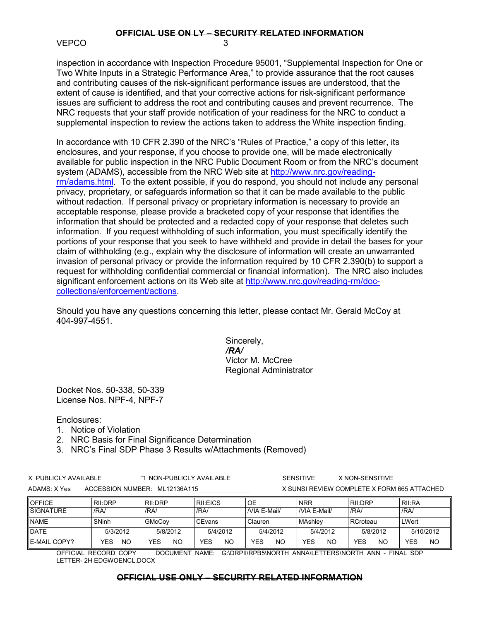#### **OFFICIAL USE ON LY – SECURITY RELATED INFORMATION** VEPCO 3

inspection in accordance with Inspection Procedure 95001, "Supplemental Inspection for One or Two White Inputs in a Strategic Performance Area," to provide assurance that the root causes and contributing causes of the risk-significant performance issues are understood, that the extent of cause is identified, and that your corrective actions for risk-significant performance issues are sufficient to address the root and contributing causes and prevent recurrence. The NRC requests that your staff provide notification of your readiness for the NRC to conduct a supplemental inspection to review the actions taken to address the White inspection finding.

In accordance with 10 CFR 2.390 of the NRC's "Rules of Practice," a copy of this letter, its enclosures, and your response, if you choose to provide one, will be made electronically available for public inspection in the NRC Public Document Room or from the NRC's document system (ADAMS), accessible from the NRC Web site at http://www.nrc.gov/readingrm/adams.html. To the extent possible, if you do respond, you should not include any personal privacy, proprietary, or safeguards information so that it can be made available to the public without redaction. If personal privacy or proprietary information is necessary to provide an acceptable response, please provide a bracketed copy of your response that identifies the information that should be protected and a redacted copy of your response that deletes such information. If you request withholding of such information, you must specifically identify the portions of your response that you seek to have withheld and provide in detail the bases for your claim of withholding (e.g., explain why the disclosure of information will create an unwarranted invasion of personal privacy or provide the information required by 10 CFR 2.390(b) to support a request for withholding confidential commercial or financial information). The NRC also includes significant enforcement actions on its Web site at http://www.nrc.gov/reading-rm/doccollections/enforcement/actions.

Should you have any questions concerning this letter, please contact Mr. Gerald McCoy at 404-997-4551.

> Sincerely, */RA/*  Victor M. McCree Regional Administrator

Docket Nos. 50-338, 50-339 License Nos. NPF-4, NPF-7

Enclosures:

- 1. Notice of Violation
- 2. NRC Basis for Final Significance Determination
- 3. NRC's Final SDP Phase 3 Results w/Attachments (Removed)

| X PUBLICLY AVAILABLE |  | $\Box$ NON-PUBLICLY AVAILABLE |
|----------------------|--|-------------------------------|
| ADAMS: X Yes         |  | ACCESSION NUMBER: ML12136A115 |

SENSITIVE X NON-SENSITIVE ACCESSION NUMBER: ML12136A115 WEST ACCESSION NUMBER: ML12136A115

| <b>OFFICE</b>       | <b>RII:DRP</b> | RII:DRP       | <b>RIEICS</b> | OE               | <b>INRR</b>        | RII:DRP          | RII:RA           |
|---------------------|----------------|---------------|---------------|------------------|--------------------|------------------|------------------|
| <b>SIGNATURE</b>    | /RA            | /RA/          | /RA           | /VIA E-Mail/     | <b>NIA E-Mail/</b> | /RA              | /RA              |
| <b>NAME</b>         | SNinh          | <b>GMcCov</b> | <b>CEvans</b> | Clauren          | <b>MAshley</b>     | RCroteau         | <b>LWert</b>     |
| <b>DATE</b>         | 5/3/2012       | 5/8/2012      | 5/4/2012      | 5/4/2012         | 5/4/2012           | 5/8/2012         | 5/10/2012        |
| <b>E-MAIL COPY?</b> | YES<br>ΝO      | YES<br>NC     | YES<br>NO     | YES<br><b>NO</b> | YES<br><b>NO</b>   | YES<br><b>NO</b> | YES<br><b>NO</b> |

OFFICIAL RECORD COPY DOCUMENT NAME: G:\DRPII\RPB5\NORTH ANNA\LETTERS\NORTH ANN - FINAL SDP LETTER- 2H EDGWOENCL.DOCX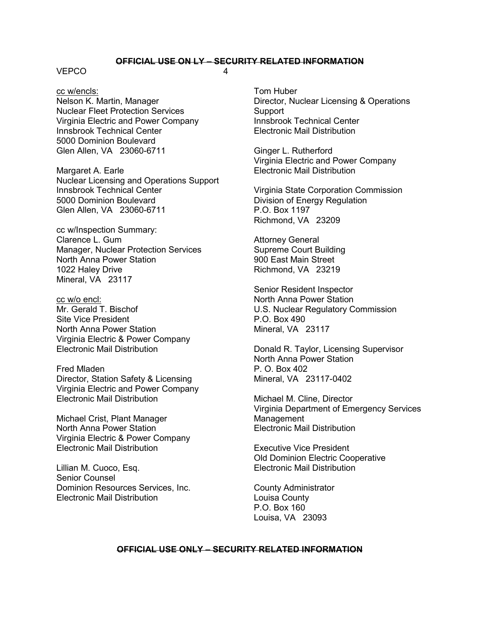### **OFFICIAL USE ON LY – SECURITY RELATED INFORMATION**

#### VEPCO 4

cc w/encls: Nelson K. Martin, Manager Nuclear Fleet Protection Services Virginia Electric and Power Company Innsbrook Technical Center 5000 Dominion Boulevard Glen Allen, VA 23060-6711

Margaret A. Earle Nuclear Licensing and Operations Support Innsbrook Technical Center 5000 Dominion Boulevard Glen Allen, VA 23060-6711

cc w/Inspection Summary: Clarence L. Gum Manager, Nuclear Protection Services North Anna Power Station 1022 Haley Drive Mineral, VA 23117

cc w/o encl: Mr. Gerald T. Bischof Site Vice President North Anna Power Station Virginia Electric & Power Company Electronic Mail Distribution

Fred Mladen Director, Station Safety & Licensing Virginia Electric and Power Company Electronic Mail Distribution

Michael Crist, Plant Manager North Anna Power Station Virginia Electric & Power Company Electronic Mail Distribution

Lillian M. Cuoco, Esq. Senior Counsel Dominion Resources Services, Inc. Electronic Mail Distribution

Tom Huber Director, Nuclear Licensing & Operations **Support** Innsbrook Technical Center Electronic Mail Distribution

Ginger L. Rutherford Virginia Electric and Power Company Electronic Mail Distribution

Virginia State Corporation Commission Division of Energy Regulation P.O. Box 1197 Richmond, VA 23209

Attorney General Supreme Court Building 900 East Main Street Richmond, VA 23219

Senior Resident Inspector North Anna Power Station U.S. Nuclear Regulatory Commission P.O. Box 490 Mineral, VA 23117

Donald R. Taylor, Licensing Supervisor North Anna Power Station  $P$   $O$  Box 402 Mineral, VA 23117-0402

Michael M. Cline, Director Virginia Department of Emergency Services Management Electronic Mail Distribution

Executive Vice President Old Dominion Electric Cooperative Electronic Mail Distribution

County Administrator Louisa County P.O. Box 160 Louisa, VA 23093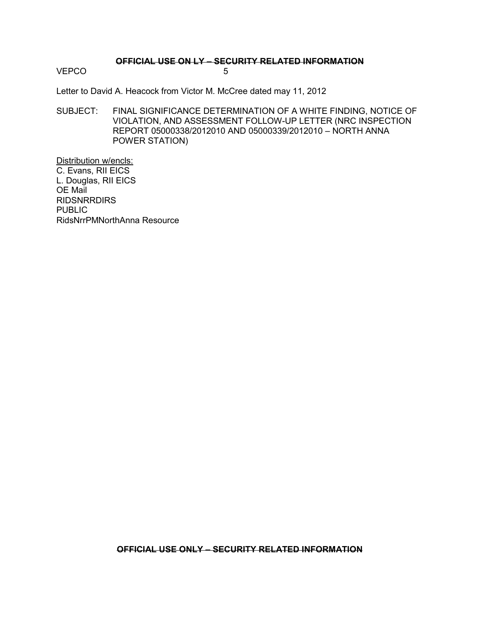#### **OFFICIAL USE ON LY – SECURITY RELATED INFORMATION**

VEPCO 5

Letter to David A. Heacock from Victor M. McCree dated may 11, 2012

SUBJECT: FINAL SIGNIFICANCE DETERMINATION OF A WHITE FINDING, NOTICE OF VIOLATION, AND ASSESSMENT FOLLOW-UP LETTER (NRC INSPECTION REPORT 05000338/2012010 AND 05000339/2012010 – NORTH ANNA POWER STATION)

Distribution w/encls: C. Evans, RII EICS L. Douglas, RII EICS OE Mail RIDSNRRDIRS PUBLIC RidsNrrPMNorthAnna Resource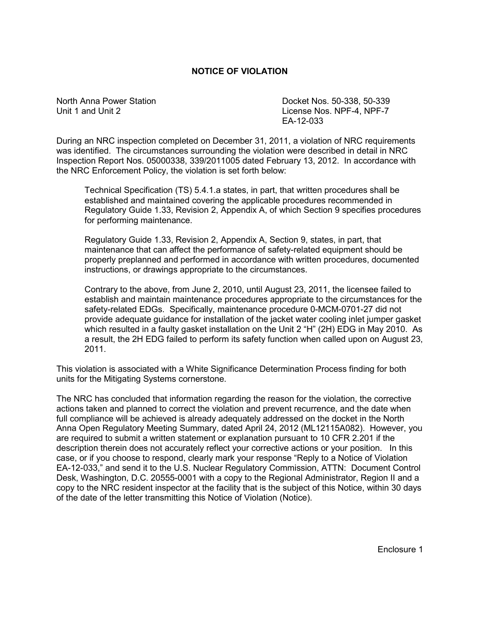# **NOTICE OF VIOLATION**

North Anna Power Station North 2008 Control 2008 Control Docket Nos. 50-338, 50-339 Unit 1 and Unit 2 License Nos. NPF-4, NPF-7 EA-12-033

During an NRC inspection completed on December 31, 2011, a violation of NRC requirements was identified. The circumstances surrounding the violation were described in detail in NRC Inspection Report Nos. 05000338, 339/2011005 dated February 13, 2012. In accordance with the NRC Enforcement Policy, the violation is set forth below:

Technical Specification (TS) 5.4.1.a states, in part, that written procedures shall be established and maintained covering the applicable procedures recommended in Regulatory Guide 1.33, Revision 2, Appendix A, of which Section 9 specifies procedures for performing maintenance.

Regulatory Guide 1.33, Revision 2, Appendix A, Section 9, states, in part, that maintenance that can affect the performance of safety-related equipment should be properly preplanned and performed in accordance with written procedures, documented instructions, or drawings appropriate to the circumstances.

Contrary to the above, from June 2, 2010, until August 23, 2011, the licensee failed to establish and maintain maintenance procedures appropriate to the circumstances for the safety-related EDGs. Specifically, maintenance procedure 0-MCM-0701-27 did not provide adequate guidance for installation of the jacket water cooling inlet jumper gasket which resulted in a faulty gasket installation on the Unit 2 "H" (2H) EDG in May 2010. As a result, the 2H EDG failed to perform its safety function when called upon on August 23, 2011.

This violation is associated with a White Significance Determination Process finding for both units for the Mitigating Systems cornerstone.

The NRC has concluded that information regarding the reason for the violation, the corrective actions taken and planned to correct the violation and prevent recurrence, and the date when full compliance will be achieved is already adequately addressed on the docket in the North Anna Open Regulatory Meeting Summary, dated April 24, 2012 (ML12115A082). However, you are required to submit a written statement or explanation pursuant to 10 CFR 2.201 if the description therein does not accurately reflect your corrective actions or your position. In this case, or if you choose to respond, clearly mark your response "Reply to a Notice of Violation EA-12-033," and send it to the U.S. Nuclear Regulatory Commission, ATTN: Document Control Desk, Washington, D.C. 20555-0001 with a copy to the Regional Administrator, Region II and a copy to the NRC resident inspector at the facility that is the subject of this Notice, within 30 days of the date of the letter transmitting this Notice of Violation (Notice).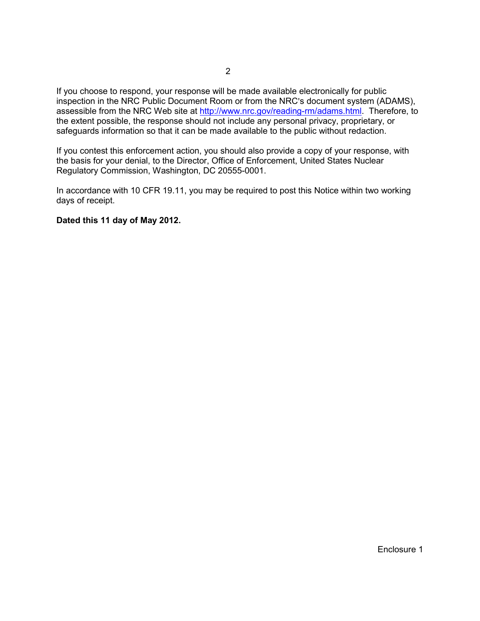If you choose to respond, your response will be made available electronically for public inspection in the NRC Public Document Room or from the NRC's document system (ADAMS), assessible from the NRC Web site at http://www.nrc.gov/reading-rm/adams.html. Therefore, to the extent possible, the response should not include any personal privacy, proprietary, or safeguards information so that it can be made available to the public without redaction.

If you contest this enforcement action, you should also provide a copy of your response, with the basis for your denial, to the Director, Office of Enforcement, United States Nuclear Regulatory Commission, Washington, DC 20555-0001.

In accordance with 10 CFR 19.11, you may be required to post this Notice within two working days of receipt.

### **Dated this 11 day of May 2012.**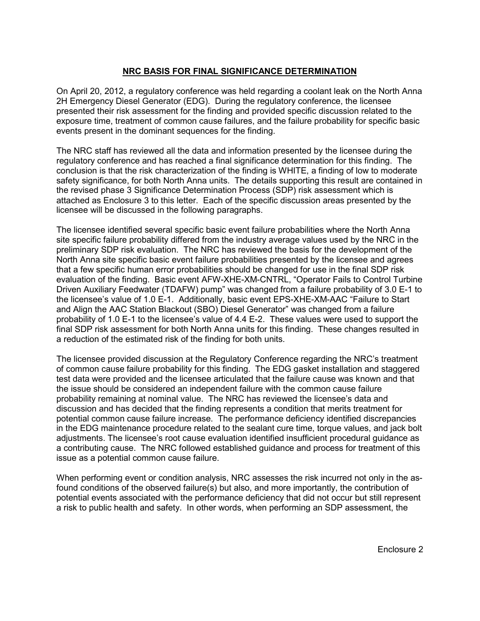# **NRC BASIS FOR FINAL SIGNIFICANCE DETERMINATION**

On April 20, 2012, a regulatory conference was held regarding a coolant leak on the North Anna 2H Emergency Diesel Generator (EDG). During the regulatory conference, the licensee presented their risk assessment for the finding and provided specific discussion related to the exposure time, treatment of common cause failures, and the failure probability for specific basic events present in the dominant sequences for the finding.

The NRC staff has reviewed all the data and information presented by the licensee during the regulatory conference and has reached a final significance determination for this finding. The conclusion is that the risk characterization of the finding is WHITE, a finding of low to moderate safety significance, for both North Anna units. The details supporting this result are contained in the revised phase 3 Significance Determination Process (SDP) risk assessment which is attached as Enclosure 3 to this letter. Each of the specific discussion areas presented by the licensee will be discussed in the following paragraphs.

The licensee identified several specific basic event failure probabilities where the North Anna site specific failure probability differed from the industry average values used by the NRC in the preliminary SDP risk evaluation. The NRC has reviewed the basis for the development of the North Anna site specific basic event failure probabilities presented by the licensee and agrees that a few specific human error probabilities should be changed for use in the final SDP risk evaluation of the finding. Basic event AFW-XHE-XM-CNTRL, "Operator Fails to Control Turbine Driven Auxiliary Feedwater (TDAFW) pump" was changed from a failure probability of 3.0 E-1 to the licensee's value of 1.0 E-1. Additionally, basic event EPS-XHE-XM-AAC "Failure to Start and Align the AAC Station Blackout (SBO) Diesel Generator" was changed from a failure probability of 1.0 E-1 to the licensee's value of 4.4 E-2. These values were used to support the final SDP risk assessment for both North Anna units for this finding. These changes resulted in a reduction of the estimated risk of the finding for both units.

The licensee provided discussion at the Regulatory Conference regarding the NRC's treatment of common cause failure probability for this finding. The EDG gasket installation and staggered test data were provided and the licensee articulated that the failure cause was known and that the issue should be considered an independent failure with the common cause failure probability remaining at nominal value. The NRC has reviewed the licensee's data and discussion and has decided that the finding represents a condition that merits treatment for potential common cause failure increase. The performance deficiency identified discrepancies in the EDG maintenance procedure related to the sealant cure time, torque values, and jack bolt adjustments. The licensee's root cause evaluation identified insufficient procedural guidance as a contributing cause. The NRC followed established guidance and process for treatment of this issue as a potential common cause failure.

When performing event or condition analysis, NRC assesses the risk incurred not only in the asfound conditions of the observed failure(s) but also, and more importantly, the contribution of potential events associated with the performance deficiency that did not occur but still represent a risk to public health and safety. In other words, when performing an SDP assessment, the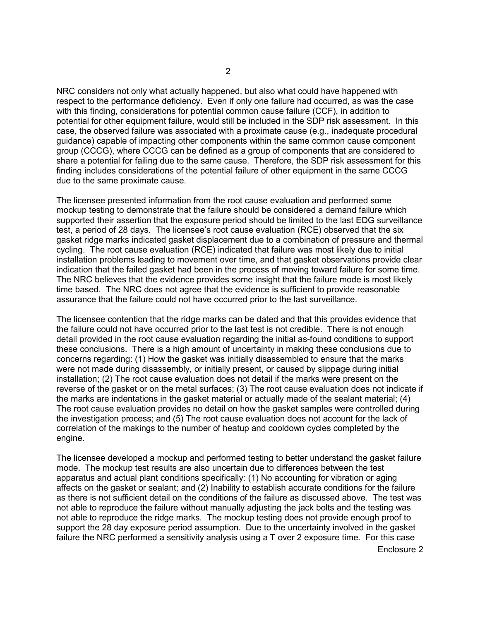NRC considers not only what actually happened, but also what could have happened with respect to the performance deficiency. Even if only one failure had occurred, as was the case with this finding, considerations for potential common cause failure (CCF), in addition to potential for other equipment failure, would still be included in the SDP risk assessment. In this case, the observed failure was associated with a proximate cause (e.g., inadequate procedural guidance) capable of impacting other components within the same common cause component group (CCCG), where CCCG can be defined as a group of components that are considered to share a potential for failing due to the same cause. Therefore, the SDP risk assessment for this finding includes considerations of the potential failure of other equipment in the same CCCG due to the same proximate cause.

The licensee presented information from the root cause evaluation and performed some mockup testing to demonstrate that the failure should be considered a demand failure which supported their assertion that the exposure period should be limited to the last EDG surveillance test, a period of 28 days. The licensee's root cause evaluation (RCE) observed that the six gasket ridge marks indicated gasket displacement due to a combination of pressure and thermal cycling. The root cause evaluation (RCE) indicated that failure was most likely due to initial installation problems leading to movement over time, and that gasket observations provide clear indication that the failed gasket had been in the process of moving toward failure for some time. The NRC believes that the evidence provides some insight that the failure mode is most likely time based. The NRC does not agree that the evidence is sufficient to provide reasonable assurance that the failure could not have occurred prior to the last surveillance.

The licensee contention that the ridge marks can be dated and that this provides evidence that the failure could not have occurred prior to the last test is not credible. There is not enough detail provided in the root cause evaluation regarding the initial as-found conditions to support these conclusions. There is a high amount of uncertainty in making these conclusions due to concerns regarding: (1) How the gasket was initially disassembled to ensure that the marks were not made during disassembly, or initially present, or caused by slippage during initial installation; (2) The root cause evaluation does not detail if the marks were present on the reverse of the gasket or on the metal surfaces; (3) The root cause evaluation does not indicate if the marks are indentations in the gasket material or actually made of the sealant material; (4) The root cause evaluation provides no detail on how the gasket samples were controlled during the investigation process; and (5) The root cause evaluation does not account for the lack of correlation of the makings to the number of heatup and cooldown cycles completed by the engine.

The licensee developed a mockup and performed testing to better understand the gasket failure mode. The mockup test results are also uncertain due to differences between the test apparatus and actual plant conditions specifically: (1) No accounting for vibration or aging affects on the gasket or sealant; and (2) Inability to establish accurate conditions for the failure as there is not sufficient detail on the conditions of the failure as discussed above. The test was not able to reproduce the failure without manually adjusting the jack bolts and the testing was not able to reproduce the ridge marks. The mockup testing does not provide enough proof to support the 28 day exposure period assumption. Due to the uncertainty involved in the gasket failure the NRC performed a sensitivity analysis using a T over 2 exposure time. For this case

Enclosure 2